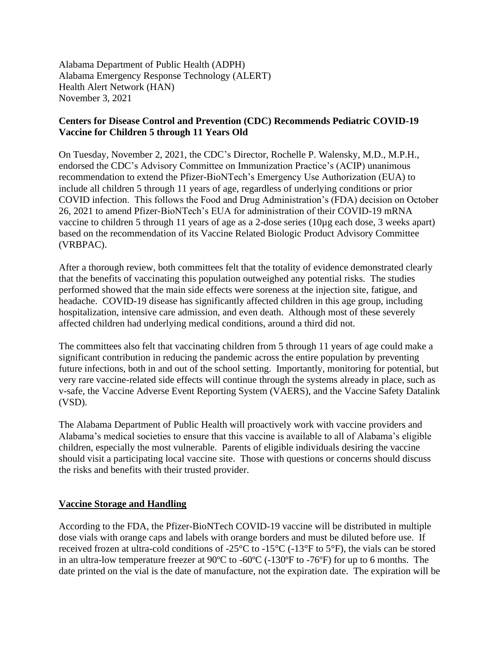Alabama Department of Public Health (ADPH) Alabama Emergency Response Technology (ALERT) Health Alert Network (HAN) November 3, 2021

## **Centers for Disease Control and Prevention (CDC) Recommends Pediatric COVID-19 Vaccine for Children 5 through 11 Years Old**

On Tuesday, November 2, 2021, the CDC's Director, Rochelle P. Walensky, M.D., M.P.H., endorsed the CDC's Advisory Committee on Immunization Practice's (ACIP) unanimous recommendation to extend the Pfizer-BioNTech's Emergency Use Authorization (EUA) to include all children 5 through 11 years of age, regardless of underlying conditions or prior COVID infection. This follows the Food and Drug Administration's (FDA) decision on October 26, 2021 to amend Pfizer-BioNTech's EUA for administration of their COVID-19 mRNA vaccine to children 5 through 11 years of age as a 2-dose series (10µg each dose, 3 weeks apart) based on the recommendation of its Vaccine Related Biologic Product Advisory Committee (VRBPAC).

After a thorough review, both committees felt that the totality of evidence demonstrated clearly that the benefits of vaccinating this population outweighed any potential risks. The studies performed showed that the main side effects were soreness at the injection site, fatigue, and headache. COVID-19 disease has significantly affected children in this age group, including hospitalization, intensive care admission, and even death. Although most of these severely affected children had underlying medical conditions, around a third did not.

The committees also felt that vaccinating children from 5 through 11 years of age could make a significant contribution in reducing the pandemic across the entire population by preventing future infections, both in and out of the school setting. Importantly, monitoring for potential, but very rare vaccine-related side effects will continue through the systems already in place, such as v-safe, the Vaccine Adverse Event Reporting System (VAERS), and the Vaccine Safety Datalink (VSD).

The Alabama Department of Public Health will proactively work with vaccine providers and Alabama's medical societies to ensure that this vaccine is available to all of Alabama's eligible children, especially the most vulnerable. Parents of eligible individuals desiring the vaccine should visit a participating local vaccine site. Those with questions or concerns should discuss the risks and benefits with their trusted provider.

## **Vaccine Storage and Handling**

According to the FDA, the Pfizer-BioNTech COVID-19 vaccine will be distributed in multiple dose vials with orange caps and labels with orange borders and must be diluted before use. If received frozen at ultra-cold conditions of -25°C to -15°C (-13°F to 5°F), the vials can be stored in an ultra-low temperature freezer at 90ºC to -60ºC (-130ºF to -76ºF) for up to 6 months. The date printed on the vial is the date of manufacture, not the expiration date. The expiration will be